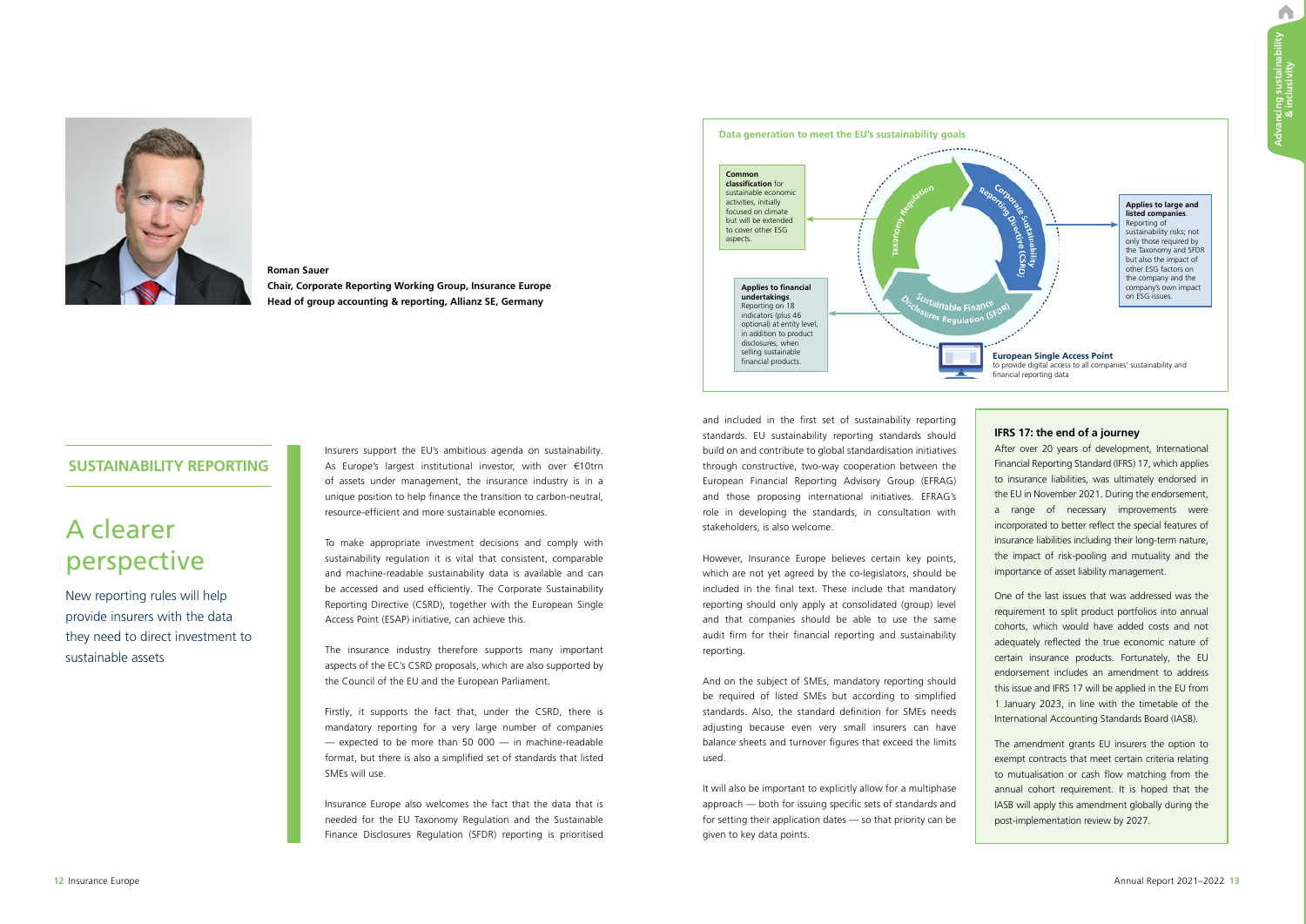A



## **Roman Sauer Chair, Corporate Reporting Working Group, Insurance Europe Head of group accounting & reporting, Allianz SE, Germany**

# A clearer perspective

New reporting rules will help provide insurers with the data they need to direct investment to sustainable assets

## **SUSTAINABILITY REPORTING**

Insurers support the EU's ambitious agenda on sustainability. As Europe's largest institutional investor, with over €10trn of assets under management, the insurance industry is in a unique position to help finance the transition to carbon-neutral, resource-efficient and more sustainable economies.

To make appropriate investment decisions and comply with sustainability regulation it is vital that consistent, comparable and machine-readable sustainability data is available and can be accessed and used efficiently. The Corporate Sustainability Reporting Directive (CSRD), together with the European Single Access Point (ESAP) initiative, can achieve this.

The insurance industry therefore supports many important aspects of the EC's CSRD proposals, which are also supported by the Council of the EU and the European Parliament.

Firstly, it supports the fact that, under the CSRD, there is mandatory reporting for a very large number of companies — expected to be more than 50 000 — in machine-readable format, but there is also a simplified set of standards that listed SMEs will use.

Insurance Europe also welcomes the fact that the data that is needed for the EU Taxonomy Regulation and the Sustainable Finance Disclosures Regulation (SFDR) reporting is prioritised

and included in the first set of sustainability reporting standards. EU sustainability reporting standards should build on and contribute to global standardisation initiatives through constructive, two-way cooperation between the European Financial Reporting Advisory Group (EFRAG) and those proposing international initiatives. EFRAG's role in developing the standards, in consultation with stakeholders, is also welcome.

However, Insurance Europe believes certain key points, which are not yet agreed by the co-legislators, should be included in the final text. These include that mandatory reporting should only apply at consolidated (group) level and that companies should be able to use the same audit firm for their financial reporting and sustainability reporting.

And on the subject of SMEs, mandatory reporting should be required of listed SMEs but according to simplified standards. Also, the standard definition for SMEs needs adjusting because even very small insurers can have balance sheets and turnover figures that exceed the limits used.

It will also be important to explicitly allow for a multiphase approach — both for issuing specific sets of standards and for setting their application dates — so that priority can be given to key data points.



## **IFRS 17: the end of a journey**

After over 20 years of development, International Financial Reporting Standard (IFRS) 17, which applies to insurance liabilities, was ultimately endorsed in the EU in November 2021. During the endorsement, a range of necessary improvements were incorporated to better reflect the special features of insurance liabilities including their long-term nature, the impact of risk-pooling and mutuality and the importance of asset liability management.

One of the last issues that was addressed was the requirement to split product portfolios into annual cohorts, which would have added costs and not adequately reflected the true economic nature of certain insurance products. Fortunately, the EU endorsement includes an amendment to address this issue and IFRS 17 will be applied in the EU from 1 January 2023, in line with the timetable of the International Accounting Standards Board (IASB).

The amendment grants EU insurers the option to exempt contracts that meet certain criteria relating to mutualisation or cash flow matching from the annual cohort requirement. It is hoped that the IASB will apply this amendment globally during the post-implementation review by 2027.